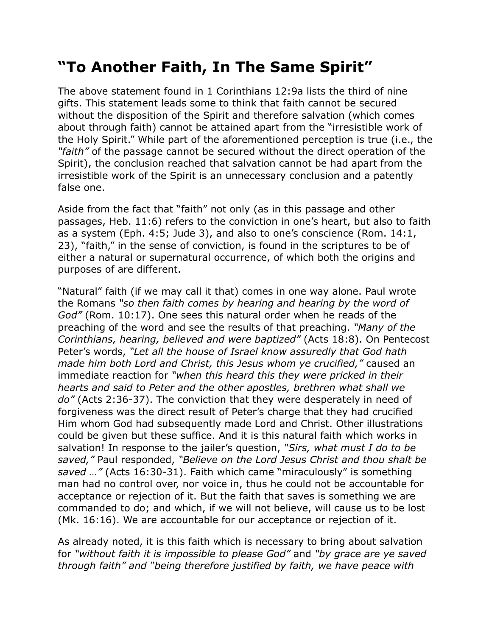## **"To Another Faith, In The Same Spirit"**

The above statement found in 1 Corinthians 12:9a lists the third of nine gifts. This statement leads some to think that faith cannot be secured without the disposition of the Spirit and therefore salvation (which comes about through faith) cannot be attained apart from the "irresistible work of the Holy Spirit." While part of the aforementioned perception is true (i.e., the *"faith"* of the passage cannot be secured without the direct operation of the Spirit), the conclusion reached that salvation cannot be had apart from the irresistible work of the Spirit is an unnecessary conclusion and a patently false one.

Aside from the fact that "faith" not only (as in this passage and other passages, Heb. 11:6) refers to the conviction in one's heart, but also to faith as a system (Eph. 4:5; Jude 3), and also to one's conscience (Rom. 14:1, 23), "faith," in the sense of conviction, is found in the scriptures to be of either a natural or supernatural occurrence, of which both the origins and purposes of are different.

"Natural" faith (if we may call it that) comes in one way alone. Paul wrote the Romans *"so then faith comes by hearing and hearing by the word of God"* (Rom. 10:17). One sees this natural order when he reads of the preaching of the word and see the results of that preaching. *"Many of the Corinthians, hearing, believed and were baptized"* (Acts 18:8). On Pentecost Peter's words, *"Let all the house of Israel know assuredly that God hath made him both Lord and Christ, this Jesus whom ye crucified,"* caused an immediate reaction for *"when this heard this they were pricked in their hearts and said to Peter and the other apostles, brethren what shall we do"* (Acts 2:36-37). The conviction that they were desperately in need of forgiveness was the direct result of Peter's charge that they had crucified Him whom God had subsequently made Lord and Christ. Other illustrations could be given but these suffice. And it is this natural faith which works in salvation! In response to the jailer's question, *"Sirs, what must I do to be saved,"* Paul responded, *"Believe on the Lord Jesus Christ and thou shalt be saved …"* (Acts 16:30-31). Faith which came "miraculously" is something man had no control over, nor voice in, thus he could not be accountable for acceptance or rejection of it. But the faith that saves is something we are commanded to do; and which, if we will not believe, will cause us to be lost (Mk. 16:16). We are accountable for our acceptance or rejection of it.

As already noted, it is this faith which is necessary to bring about salvation for *"without faith it is impossible to please God"* and *"by grace are ye saved through faith" and "being therefore justified by faith, we have peace with*